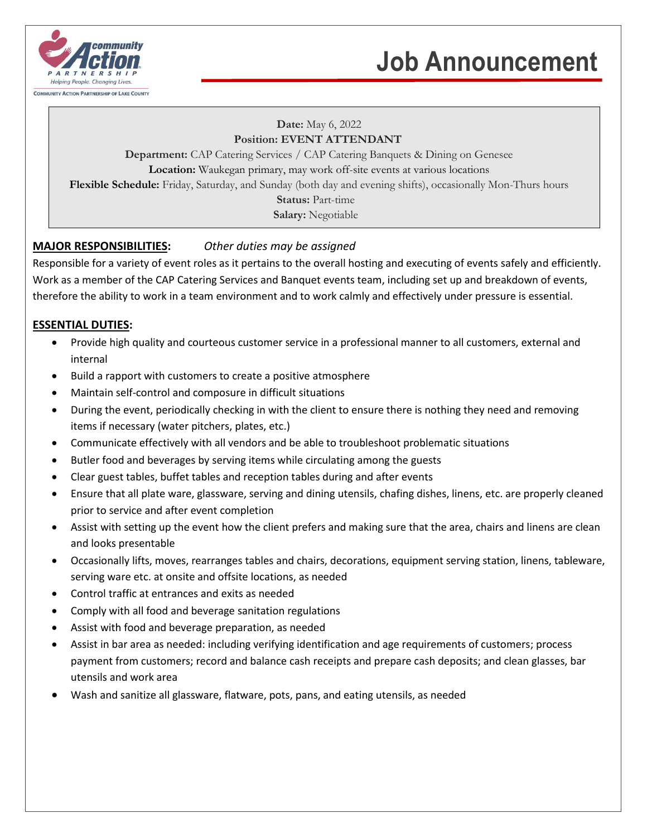

# **Job Announcement**

#### **Date:** May 6, 2022 **Position: EVENT ATTENDANT**

**Department:** CAP Catering Services / CAP Catering Banquets & Dining on Genesee **Location:** Waukegan primary, may work off-site events at various locations **Flexible Schedule:** Friday, Saturday, and Sunday (both day and evening shifts), occasionally Mon-Thurs hours **Status:** Part-time

**Salary:** Negotiable

## **MAJOR RESPONSIBILITIES:** *Other duties may be assigned*

Responsible for a variety of event roles as it pertains to the overall hosting and executing of events safely and efficiently. Work as a member of the CAP Catering Services and Banquet events team, including set up and breakdown of events, therefore the ability to work in a team environment and to work calmly and effectively under pressure is essential.

## **ESSENTIAL DUTIES:**

- Provide high quality and courteous customer service in a professional manner to all customers, external and internal
- Build a rapport with customers to create a positive atmosphere
- Maintain self-control and composure in difficult situations
- During the event, periodically checking in with the client to ensure there is nothing they need and removing items if necessary (water pitchers, plates, etc.)
- Communicate effectively with all vendors and be able to troubleshoot problematic situations
- Butler food and beverages by serving items while circulating among the guests
- Clear guest tables, buffet tables and reception tables during and after events
- Ensure that all plate ware, glassware, serving and dining utensils, chafing dishes, linens, etc. are properly cleaned prior to service and after event completion
- Assist with setting up the event how the client prefers and making sure that the area, chairs and linens are clean and looks presentable
- Occasionally lifts, moves, rearranges tables and chairs, decorations, equipment serving station, linens, tableware, serving ware etc. at onsite and offsite locations, as needed
- Control traffic at entrances and exits as needed
- Comply with all food and beverage sanitation regulations
- Assist with food and beverage preparation, as needed
- Assist in bar area as needed: including verifying identification and age requirements of customers; process payment from customers; record and balance cash receipts and prepare cash deposits; and clean glasses, bar utensils and work area
- Wash and sanitize all glassware, flatware, pots, pans, and eating utensils, as needed